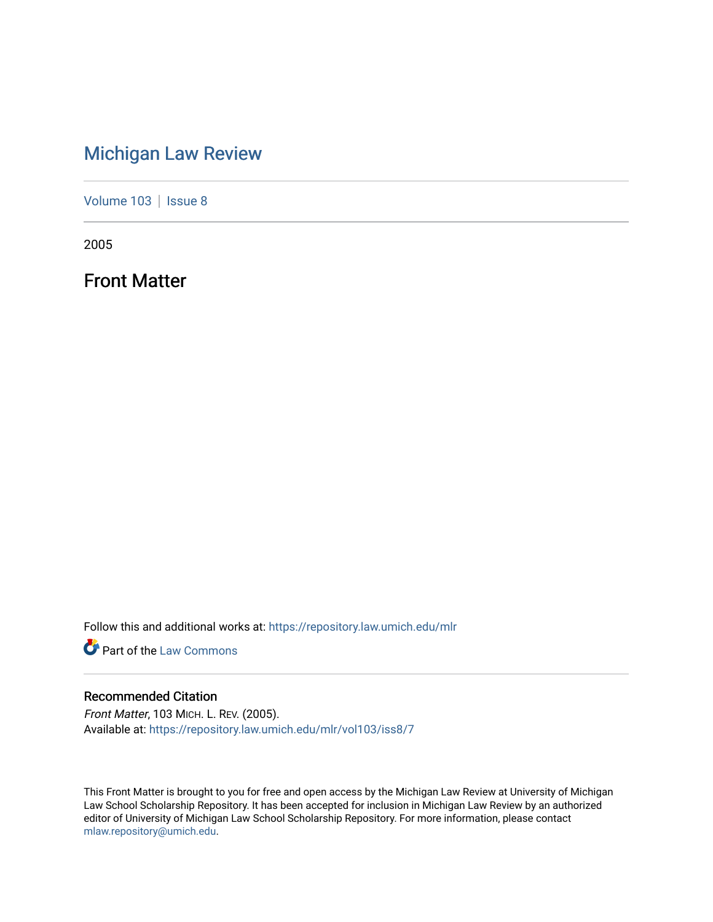### [Michigan Law Review](https://repository.law.umich.edu/mlr)

[Volume 103](https://repository.law.umich.edu/mlr/vol103) | [Issue 8](https://repository.law.umich.edu/mlr/vol103/iss8)

2005

Front Matter

Follow this and additional works at: [https://repository.law.umich.edu/mlr](https://repository.law.umich.edu/mlr?utm_source=repository.law.umich.edu%2Fmlr%2Fvol103%2Fiss8%2F7&utm_medium=PDF&utm_campaign=PDFCoverPages) 

**Part of the [Law Commons](http://network.bepress.com/hgg/discipline/578?utm_source=repository.law.umich.edu%2Fmlr%2Fvol103%2Fiss8%2F7&utm_medium=PDF&utm_campaign=PDFCoverPages)** 

#### Recommended Citation

Front Matter, 103 MICH. L. REV. (2005). Available at: [https://repository.law.umich.edu/mlr/vol103/iss8/7](https://repository.law.umich.edu/mlr/vol103/iss8/7?utm_source=repository.law.umich.edu%2Fmlr%2Fvol103%2Fiss8%2F7&utm_medium=PDF&utm_campaign=PDFCoverPages) 

This Front Matter is brought to you for free and open access by the Michigan Law Review at University of Michigan Law School Scholarship Repository. It has been accepted for inclusion in Michigan Law Review by an authorized editor of University of Michigan Law School Scholarship Repository. For more information, please contact [mlaw.repository@umich.edu.](mailto:mlaw.repository@umich.edu)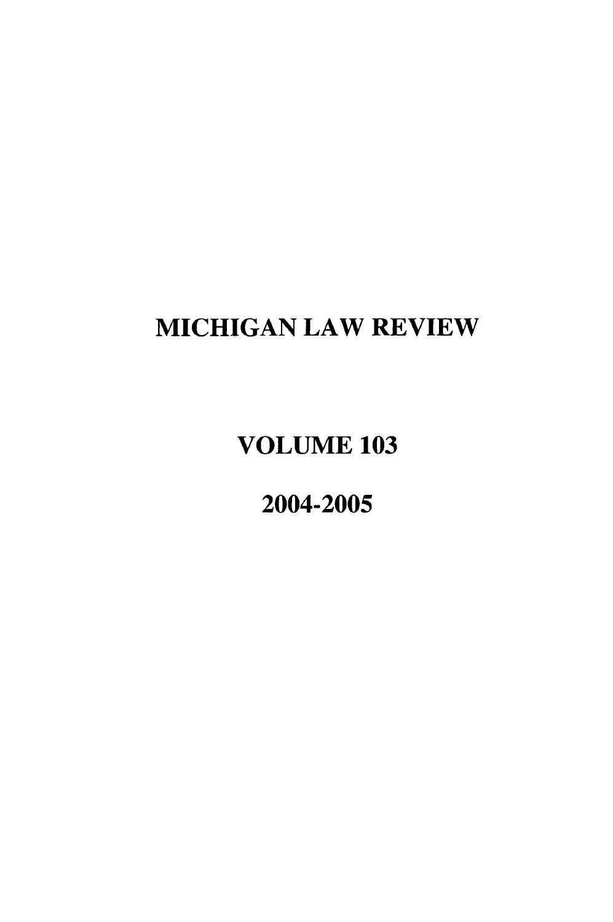## **MICHIGAN** LAW REVIEW

## **VOLUME 103**

2004-2005